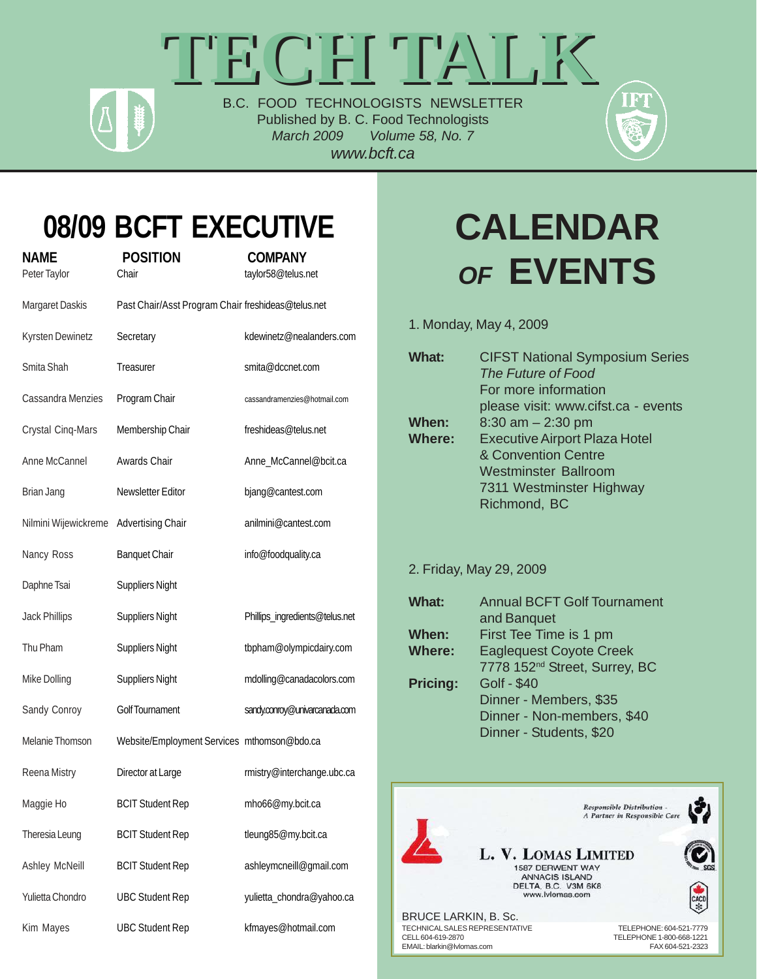# **TECH TALK TECH TALK** B.C. FOOD TECHNOLOGISTS NEWSLETTER

Published by B. C. Food Technologists *March 2009 Volume 58, No. 7 www.bcft.ca*



## **08/09 BCFT EXECUTIVE**

**NAME POSITION COMPANY**

| Peter Taylor         | Chair                                              | taylor58@telus.net             |
|----------------------|----------------------------------------------------|--------------------------------|
| Margaret Daskis      | Past Chair/Asst Program Chair freshideas@telus.net |                                |
| Kyrsten Dewinetz     | Secretary                                          | kdewinetz@nealanders.com       |
| Smita Shah           | Treasurer                                          | smita@dccnet.com               |
| Cassandra Menzies    | Program Chair                                      | cassandramenzies@hotmail.com   |
| Crystal Cinq-Mars    | Membership Chair                                   | freshideas@telus.net           |
| Anne McCannel        | Awards Chair                                       | Anne_McCannel@bcit.ca          |
| Brian Jang           | Newsletter Editor                                  | bjang@cantest.com              |
| Nilmini Wijewickreme | <b>Advertising Chair</b>                           | anilmini@cantest.com           |
| Nancy Ross           | <b>Banquet Chair</b>                               | info@foodquality.ca            |
| Daphne Tsai          | <b>Suppliers Night</b>                             |                                |
| <b>Jack Phillips</b> | <b>Suppliers Night</b>                             | Phillips_ingredients@telus.net |
| Thu Pham             | <b>Suppliers Night</b>                             | tbpham@olympicdairy.com        |
| Mike Dolling         | <b>Suppliers Night</b>                             | mdolling@canadacolors.com      |
| Sandy Conroy         | Golf Tournament                                    | sandy.conroy@univarcanada.com  |
| Melanie Thomson      | Website/Employment Services mthomson@bdo.ca        |                                |
| Reena Mistry         | Director at Large                                  | rmistry@interchange.ubc.ca     |
| Maggie Ho            | <b>BCIT Student Rep</b>                            | mho66@my.bcit.ca               |
| Theresia Leung       | <b>BCIT Student Rep</b>                            | tleung85@my.bcit.ca            |
| Ashley McNeill       | <b>BCIT Student Rep</b>                            | ashleymcneill@gmail.com        |
| Yulietta Chondro     | <b>UBC Student Rep</b>                             | yulietta_chondra@yahoo.ca      |
| Kim Mayes            | <b>UBC Student Rep</b>                             | kfmayes@hotmail.com            |

# **CALENDAR** *OF* **EVENTS**

1. Monday, May 4, 2009

| What:  | <b>CIFST National Symposium Series</b><br>The Future of Food<br>For more information |
|--------|--------------------------------------------------------------------------------------|
|        | please visit: www.cifst.ca - events                                                  |
| When:  | $8:30$ am $- 2:30$ pm                                                                |
| Where: | <b>Executive Airport Plaza Hotel</b>                                                 |
|        | & Convention Centre                                                                  |
|        | <b>Westminster Ballroom</b>                                                          |
|        | 7311 Westminster Highway                                                             |
|        | Richmond, BC                                                                         |

2. Friday, May 29, 2009

| What:           | <b>Annual BCFT Golf Tournament</b>        |  |
|-----------------|-------------------------------------------|--|
|                 | and Banquet                               |  |
| When:           | First Tee Time is 1 pm                    |  |
| <b>Where:</b>   | <b>Eaglequest Coyote Creek</b>            |  |
|                 | 7778 152 <sup>nd</sup> Street, Surrey, BC |  |
| <b>Pricing:</b> | <b>Golf - \$40</b>                        |  |
|                 | Dinner - Members, \$35                    |  |
|                 | Dinner - Non-members, \$40                |  |
|                 | Dinner - Students, \$20                   |  |
|                 |                                           |  |

**Responsible Distribution -**A Partner in Responsible Care

L. V. LOMAS LIMITED 1587 DERWENT WAY ANNACIS ISLAND<br>DELTA, B.C. V3M 6K8 www.lvlomas.com

BRUCE LARKIN, B. Sc. TELEPHONE: 604-521-7779<br>CELL 604-619-2870 CELL 604-619-2870 EMAIL: blarkin@lvlomas.com

CACD  $\ast$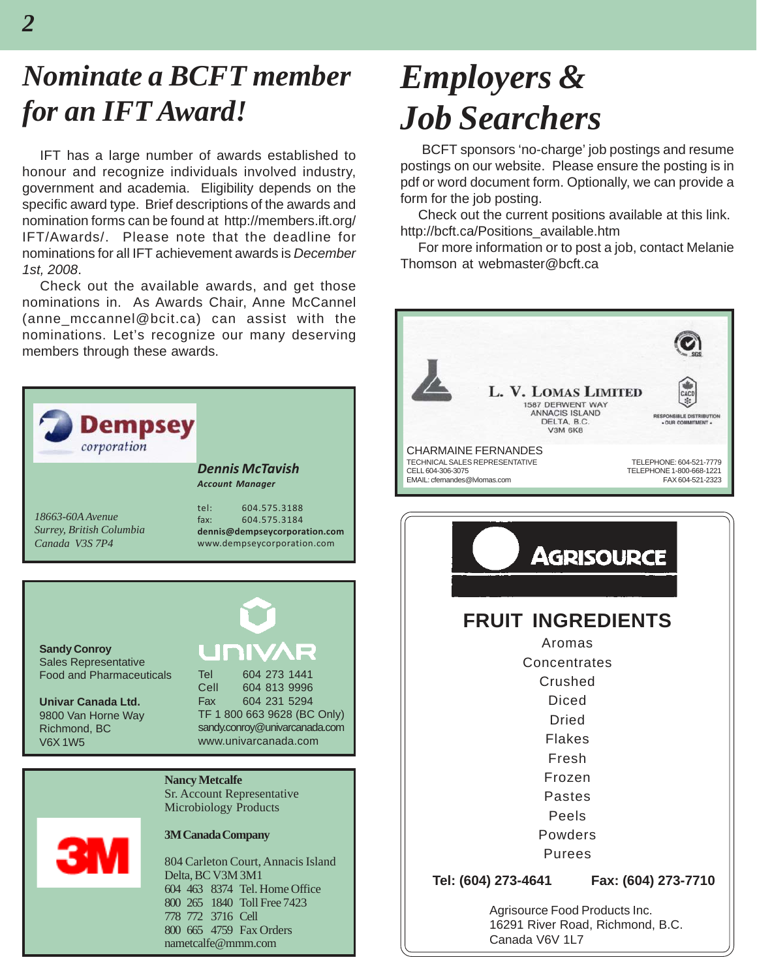## *Nominate a BCFT member for an IFT Award!*

IFT has a large number of awards established to honour and recognize individuals involved industry, government and academia. Eligibility depends on the specific award type. Brief descriptions of the awards and nomination forms can be found at http://members.ift.org/ IFT/Awards/. Please note that the deadline for nominations for all IFT achievement awards is *December 1st, 2008*.

Check out the available awards, and get those nominations in. As Awards Chair, Anne McCannel (anne mccannel@bcit.ca) can assist with the nominations. Let's recognize our many deserving members through these awards.



## *Employers & Job Searchers*

 BCFT sponsors 'no-charge' job postings and resume postings on our website. Please ensure the posting is in pdf or word document form. Optionally, we can provide a form for the job posting.

Check out the current positions available at this link. http://bcft.ca/Positions\_available.htm

For more information or to post a job, contact Melanie Thomson at webmaster@bcft.ca



**Tel: (604) 273-4641 Fax: (604) 273-7710**

Agrisource Food Products Inc. 16291 River Road, Richmond, B.C. Canada V6V 1L7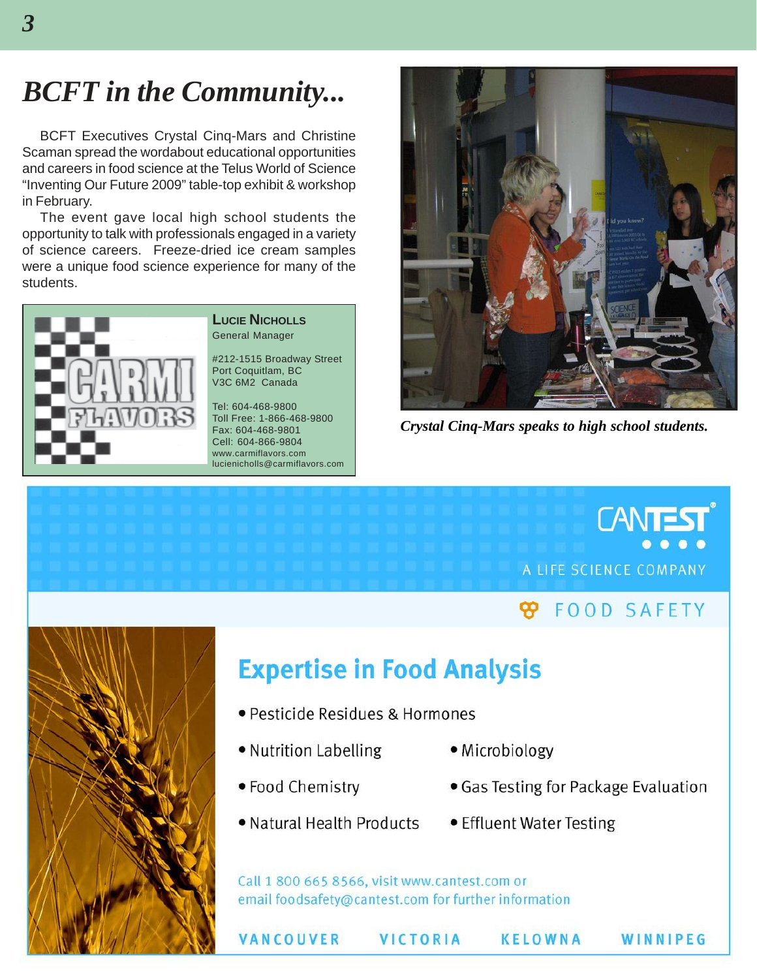### *BCFT in the Community...*

BCFT Executives Crystal Cinq-Mars and Christine Scaman spread the wordabout educational opportunities and careers in food science at the Telus World of Science "Inventing Our Future 2009" table-top exhibit & workshop in February.

The event gave local high school students the opportunity to talk with professionals engaged in a variety of science careers. Freeze-dried ice cream samples were a unique food science experience for many of the students.



#### **LUCIE NICHOLLS** General Manager

#212-1515 Broadway Street Port Coquitlam, BC V3C 6M2 Canada

Tel: 604-468-9800 Toll Free: 1-866-468-9800 Fax: 604-468-9801 Cell: 604-866-9804 www.carmiflavors.com lucienicholls@carmiflavors.com



*Crystal Cinq-Mars speaks to high school students.*

## **CANTEST** A LIFE SCIENCE COMPANY

#### **FOOD SAFETY** ∞



#### **Expertise in Food Analysis**

- Pesticide Residues & Hormones
- · Nutrition Labelling
- Microbiology
- · Food Chemistry
- . Natural Health Products
- Effluent Water Testing

• Gas Testing for Package Evaluation

Call 1 800 665 8566, visit www.cantest.com or email foodsafety@cantest.com for further information

VANCOUVER

**VICTORIA** 

**KELOWNA** 

WINNIPEG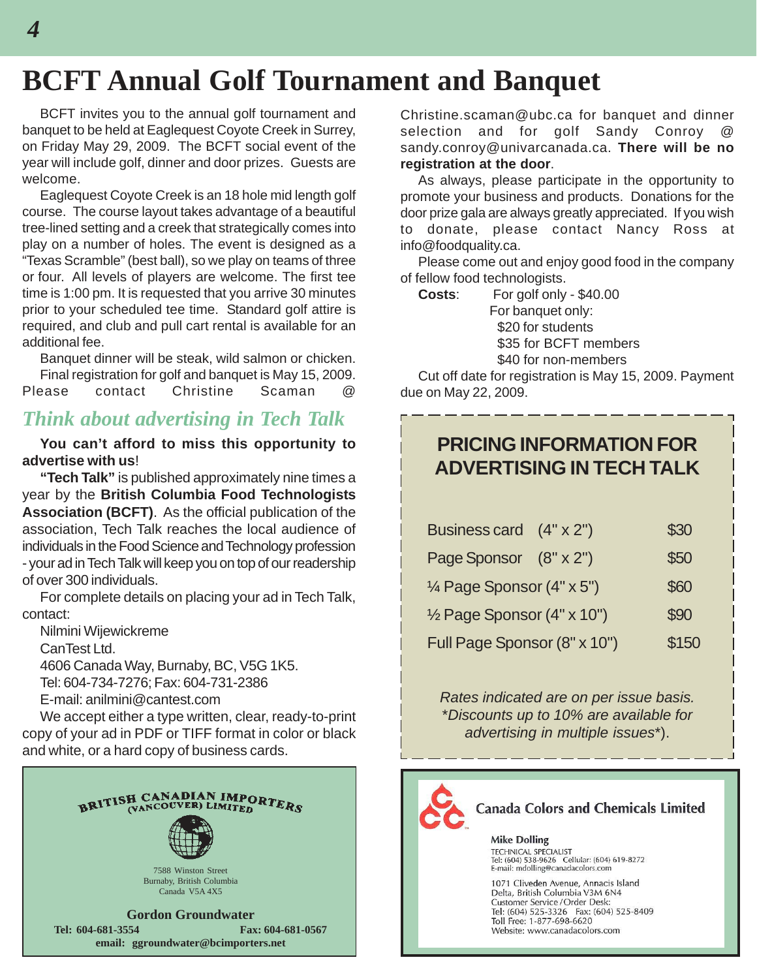### **BCFT Annual Golf Tournament and Banquet**

BCFT invites you to the annual golf tournament and banquet to be held at Eaglequest Coyote Creek in Surrey, on Friday May 29, 2009. The BCFT social event of the year will include golf, dinner and door prizes. Guests are welcome.

Eaglequest Coyote Creek is an 18 hole mid length golf course. The course layout takes advantage of a beautiful tree-lined setting and a creek that strategically comes into play on a number of holes. The event is designed as a "Texas Scramble" (best ball), so we play on teams of three or four. All levels of players are welcome. The first tee time is 1:00 pm. It is requested that you arrive 30 minutes prior to your scheduled tee time. Standard golf attire is required, and club and pull cart rental is available for an additional fee.

Banquet dinner will be steak, wild salmon or chicken. Final registration for golf and banquet is May 15, 2009. Please contact Christine Scaman @

#### *Think about advertising in Tech Talk*

**You can't afford to miss this opportunity to advertise with us**!

**"Tech Talk"** is published approximately nine times a year by the **British Columbia Food Technologists Association (BCFT)**. As the official publication of the association, Tech Talk reaches the local audience of individuals in the Food Science and Technology profession - your ad in Tech Talk will keep you on top of our readership of over 300 individuals.

For complete details on placing your ad in Tech Talk, contact:

Nilmini Wijewickreme CanTest Ltd. 4606 Canada Way, Burnaby, BC, V5G 1K5. Tel: 604-734-7276; Fax: 604-731-2386 E-mail: anilmini@cantest.com

We accept either a type written, clear, ready-to-print copy of your ad in PDF or TIFF format in color or black and white, or a hard copy of business cards.



Christine.scaman@ubc.ca for banquet and dinner selection and for golf Sandy Conroy sandy.conroy@univarcanada.ca. **There will be no registration at the door**.

As always, please participate in the opportunity to promote your business and products. Donations for the door prize gala are always greatly appreciated. If you wish to donate, please contact Nancy Ross at info@foodquality.ca.

Please come out and enjoy good food in the company of fellow food technologists.

**Costs**: For golf only - \$40.00 For banquet only: \$20 for students \$35 for BCFT members \$40 for non-members

Cut off date for registration is May 15, 2009. Payment due on May 22, 2009.

#### **PRICING INFORMATION FOR ADVERTISING IN TECH TALK**

| Business card (4" x 2")      | \$30  |
|------------------------------|-------|
| Page Sponsor (8" x 2")       | \$50  |
| 1⁄4 Page Sponsor (4" x 5")   | \$60  |
| 1/2 Page Sponsor (4" x 10")  | \$90  |
| Full Page Sponsor (8" x 10") | \$150 |

*Rates indicated are on per issue basis.* \**Discounts up to 10% are available for advertising in multiple issues*\*).



**Canada Colors and Chemicals Limited** 

**Mike Dolling** TECHNICAL SPECIALIST<br>Tel: (604) 538-9626 Cellular: (604) 619-8272 E-mail: mdolling@canadacolors.com

1071 Cliveden Avenue, Annacis Island Delta, British Columbia V3M 6N4 Customer Service / Order Desk: Tel: (604) 525-3326 Fax: (604) 525-8409 Toll Free: 1-877-698-6620 Website: www.canadacolors.com